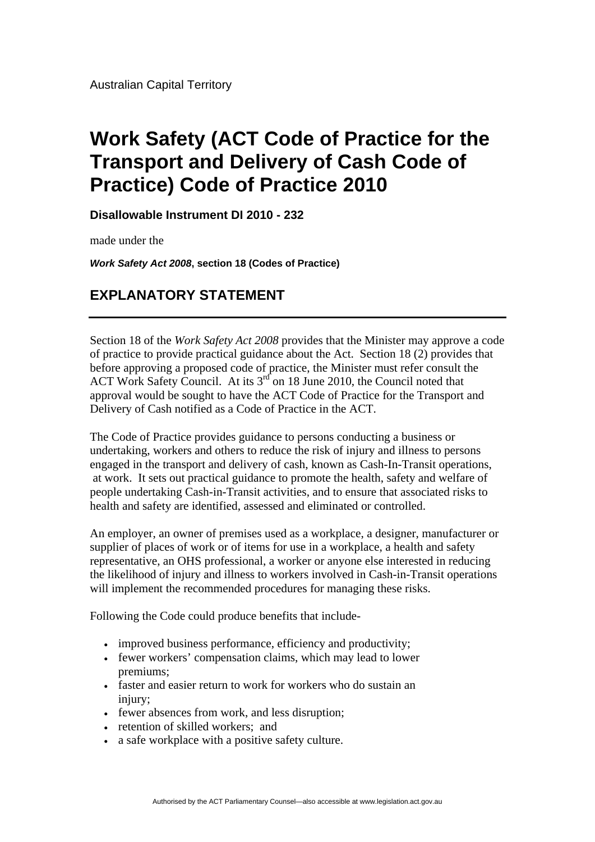Australian Capital Territory

## **Work Safety (ACT Code of Practice for the Transport and Delivery of Cash Code of Practice) Code of Practice 2010**

**Disallowable Instrument DI 2010 - 232**

made under the

*Work Safety Act 2008***, section 18 (Codes of Practice)** 

## **EXPLANATORY STATEMENT**

Section 18 of the *Work Safety Act 2008* provides that the Minister may approve a code of practice to provide practical guidance about the Act. Section 18 (2) provides that before approving a proposed code of practice, the Minister must refer consult the ACT Work Safety Council. At its 3<sup>rd</sup> on 18 June 2010, the Council noted that approval would be sought to have the ACT Code of Practice for the Transport and Delivery of Cash notified as a Code of Practice in the ACT.

The Code of Practice provides guidance to persons conducting a business or undertaking, workers and others to reduce the risk of injury and illness to persons engaged in the transport and delivery of cash, known as Cash-In-Transit operations, at work. It sets out practical guidance to promote the health, safety and welfare of people undertaking Cash-in-Transit activities, and to ensure that associated risks to health and safety are identified, assessed and eliminated or controlled.

An employer, an owner of premises used as a workplace, a designer, manufacturer or supplier of places of work or of items for use in a workplace, a health and safety representative, an OHS professional, a worker or anyone else interested in reducing the likelihood of injury and illness to workers involved in Cash-in-Transit operations will implement the recommended procedures for managing these risks.

Following the Code could produce benefits that include-

- improved business performance, efficiency and productivity;
- fewer workers' compensation claims, which may lead to lower premiums;
- faster and easier return to work for workers who do sustain an injury:
- fewer absences from work, and less disruption;
- retention of skilled workers: and
- a safe workplace with a positive safety culture.